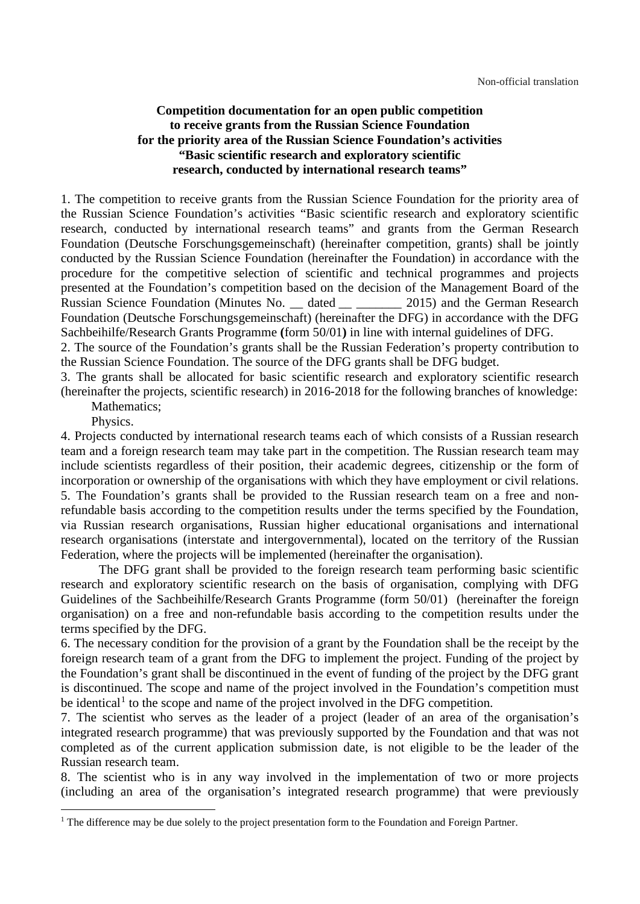### **Competition documentation for an open public competition to receive grants from the Russian Science Foundation for the priority area of the Russian Science Foundation's activities "Basic scientific research and exploratory scientific research, conducted by international research teams"**

1. The competition to receive grants from the Russian Science Foundation for the priority area of the Russian Science Foundation's activities "Basic scientific research and exploratory scientific research, conducted by international research teams" and grants from the German Research Foundation (Deutsche Forschungsgemeinschaft) (hereinafter competition, grants) shall be jointly conducted by the Russian Science Foundation (hereinafter the Foundation) in accordance with the procedure for the competitive selection of scientific and technical programmes and projects presented at the Foundation's competition based on the decision of the Management Board of the Russian Science Foundation (Minutes No. \_\_ dated 2015) and the German Research Foundation (Deutsche Forschungsgemeinschaft) (hereinafter the DFG) in accordance with the DFG [Sachbeihilfe/Research Grants Programme](http://dfg.de/en/research_funding/programmes/individual/research_grants/in_brief/index.html) **(**[form 50/01](http://www.dfg.de/formulare/50_01/50_01_en.pdf)**)** in line with internal guidelines of DFG.

2. The source of the Foundation's grants shall be the Russian Federation's property contribution to the Russian Science Foundation. The source of the DFG grants shall be DFG budget.

3. The grants shall be allocated for basic scientific research and exploratory scientific research (hereinafter the projects, scientific research) in 2016-2018 for the following branches of knowledge: Mathematics;

Physics.

<u>.</u>

4. Projects conducted by international research teams each of which consists of a Russian research team and a foreign research team may take part in the competition. The Russian research team may include scientists regardless of their position, their academic degrees, citizenship or the form of incorporation or ownership of the organisations with which they have employment or civil relations. 5. The Foundation's grants shall be provided to the Russian research team on a free and nonrefundable basis according to the competition results under the terms specified by the Foundation, via Russian research organisations, Russian higher educational organisations and international research organisations (interstate and intergovernmental), located on the territory of the Russian Federation, where the projects will be implemented (hereinafter the organisation).

The DFG grant shall be provided to the foreign research team performing basic scientific research and exploratory scientific research on the basis of organisation, complying with DFG Guidelines of the Sachbeihilfe/Research Grants Programme (form 50/01) (hereinafter the foreign organisation) on a free and non-refundable basis according to the competition results under the terms specified by the DFG.

6. The necessary condition for the provision of a grant by the Foundation shall be the receipt by the foreign research team of a grant from the DFG to implement the project. Funding of the project by the Foundation's grant shall be discontinued in the event of funding of the project by the DFG grant is discontinued. The scope and name of the project involved in the Foundation's competition must be identical<sup>[1](#page-0-0)</sup> to the scope and name of the project involved in the DFG competition.

7. The scientist who serves as the leader of a project (leader of an area of the organisation's integrated research programme) that was previously supported by the Foundation and that was not completed as of the current application submission date, is not eligible to be the leader of the Russian research team.

8. The scientist who is in any way involved in the implementation of two or more projects (including an area of the organisation's integrated research programme) that were previously

<span id="page-0-0"></span><sup>&</sup>lt;sup>1</sup> The difference may be due solely to the project presentation form to the Foundation and Foreign Partner.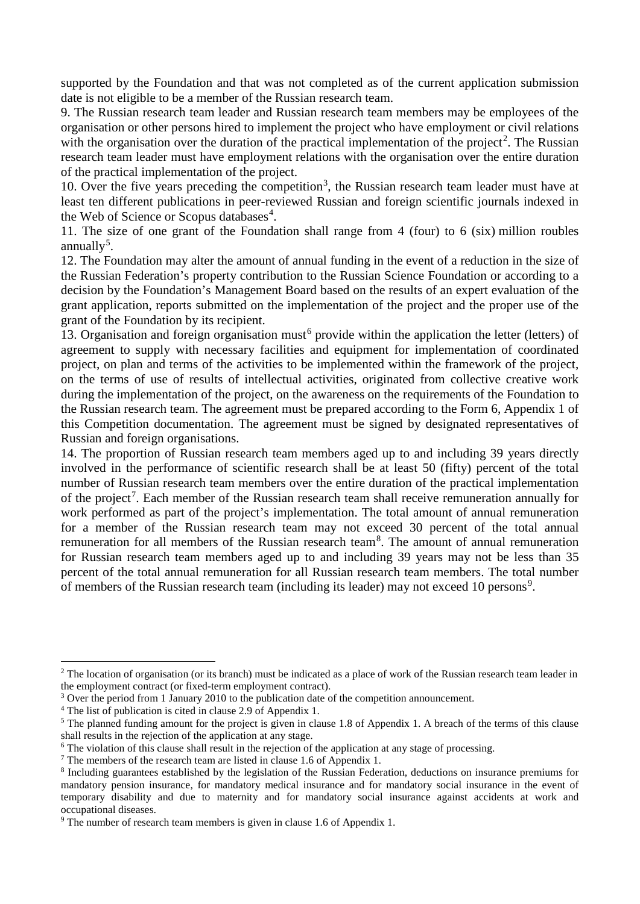supported by the Foundation and that was not completed as of the current application submission date is not eligible to be a member of the Russian research team.

9. The Russian research team leader and Russian research team members may be employees of the organisation or other persons hired to implement the project who have employment or civil relations with the organisation over the duration of the practical implementation of the project<sup>[2](#page-1-0)</sup>. The Russian research team leader must have employment relations with the organisation over the entire duration of the practical implementation of the project.

10. Over the five years preceding the competition<sup>[3](#page-1-1)</sup>, the Russian research team leader must have at least ten different publications in peer-reviewed Russian and foreign scientific journals indexed in the Web of Science or Scopus databases<sup>[4](#page-1-2)</sup>.

11. The size of one grant of the Foundation shall range from 4 (four) to 6 (six) million roubles annually<sup>[5](#page-1-3)</sup>.

12. The Foundation may alter the amount of annual funding in the event of a reduction in the size of the Russian Federation's property contribution to the Russian Science Foundation or according to a decision by the Foundation's Management Board based on the results of an expert evaluation of the grant application, reports submitted on the implementation of the project and the proper use of the grant of the Foundation by its recipient.

13. Organisation and foreign organisation must<sup>[6](#page-1-4)</sup> provide within the application the letter (letters) of agreement to supply with necessary facilities and equipment for implementation of coordinated project, on plan and terms of the activities to be implemented within the framework of the project, on the terms of use of results of intellectual activities, originated from collective creative work during the implementation of the project, on the awareness on the requirements of the Foundation to the Russian research team. The agreement must be prepared according to the Form 6, Appendix 1 of this Competition documentation. The agreement must be signed by designated representatives of Russian and foreign organisations.

14. The proportion of Russian research team members aged up to and including 39 years directly involved in the performance of scientific research shall be at least 50 (fifty) percent of the total number of Russian research team members over the entire duration of the practical implementation of the project<sup>[7](#page-1-5)</sup>. Each member of the Russian research team shall receive remuneration annually for work performed as part of the project's implementation. The total amount of annual remuneration for a member of the Russian research team may not exceed 30 percent of the total annual remuneration for all members of the Russian research team<sup>[8](#page-1-6)</sup>. The amount of annual remuneration for Russian research team members aged up to and including 39 years may not be less than 35 percent of the total annual remuneration for all Russian research team members. The total number of members of the Russian research team (including its leader) may not exceed 10 persons<sup>[9](#page-1-7)</sup>.

<u>.</u>

<span id="page-1-0"></span><sup>&</sup>lt;sup>2</sup> The location of organisation (or its branch) must be indicated as a place of work of the Russian research team leader in the employment contract (or fixed-term employment contract).

<span id="page-1-1"></span><sup>&</sup>lt;sup>3</sup> Over the period from 1 January 2010 to the publication date of the competition announcement.

<span id="page-1-2"></span><sup>4</sup> The list of publication is cited in clause 2.9 of Appendix 1.

<span id="page-1-3"></span> $5$  The planned funding amount for the project is given in clause 1.8 of Appendix 1. A breach of the terms of this clause shall results in the rejection of the application at any stage.

<span id="page-1-4"></span><sup>&</sup>lt;sup>6</sup> The violation of this clause shall result in the rejection of the application at any stage of processing.

<span id="page-1-5"></span><sup>7</sup> The members of the research team are listed in clause 1.6 of Appendix 1.

<span id="page-1-6"></span><sup>8</sup> Including guarantees established by the legislation of the Russian Federation, deductions on insurance premiums for mandatory pension insurance, for mandatory medical insurance and for mandatory social insurance in the event of temporary disability and due to maternity and for mandatory social insurance against accidents at work and occupational diseases.

<span id="page-1-7"></span><sup>&</sup>lt;sup>9</sup> The number of research team members is given in clause 1.6 of Appendix 1.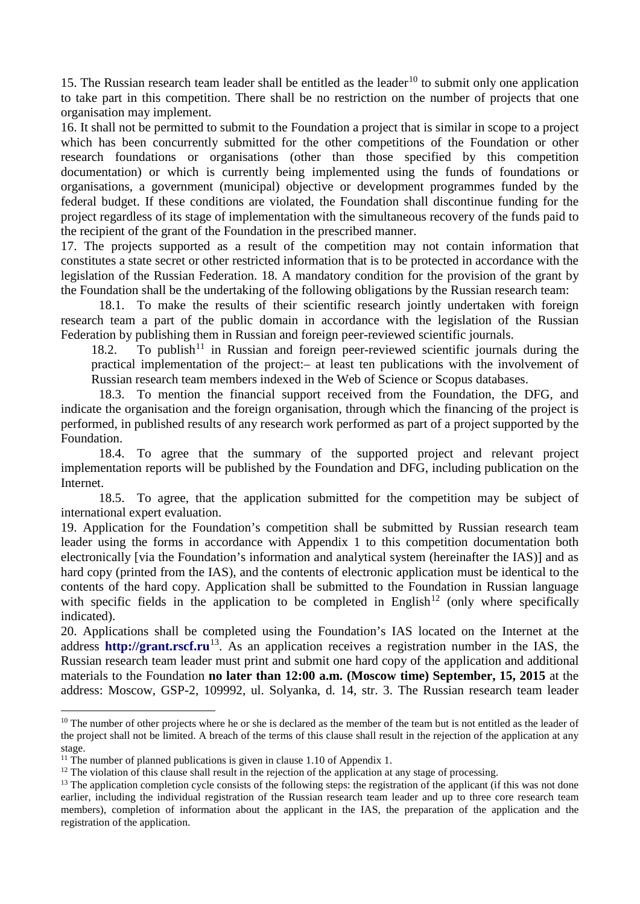15. The Russian research team leader shall be entitled as the leader<sup>[10](#page-2-0)</sup> to submit only one application to take part in this competition. There shall be no restriction on the number of projects that one organisation may implement.

16. It shall not be permitted to submit to the Foundation a project that is similar in scope to a project which has been concurrently submitted for the other competitions of the Foundation or other research foundations or organisations (other than those specified by this competition documentation) or which is currently being implemented using the funds of foundations or organisations, a government (municipal) objective or development programmes funded by the federal budget. If these conditions are violated, the Foundation shall discontinue funding for the project regardless of its stage of implementation with the simultaneous recovery of the funds paid to the recipient of the grant of the Foundation in the prescribed manner.

17. The projects supported as a result of the competition may not contain information that constitutes a state secret or other restricted information that is to be protected in accordance with the legislation of the Russian Federation. 18. A mandatory condition for the provision of the grant by the Foundation shall be the undertaking of the following obligations by the Russian research team:

18.1. To make the results of their scientific research jointly undertaken with foreign research team a part of the public domain in accordance with the legislation of the Russian Federation by publishing them in Russian and foreign peer-reviewed scientific journals.

18.2. To publish<sup>[11](#page-2-1)</sup> in Russian and foreign peer-reviewed scientific journals during the practical implementation of the project:– at least ten publications with the involvement of Russian research team members indexed in the Web of Science or Scopus databases.

18.3. To mention the financial support received from the Foundation, the DFG, and indicate the organisation and the foreign organisation, through which the financing of the project is performed, in published results of any research work performed as part of a project supported by the Foundation.

18.4. To agree that the summary of the supported project and relevant project implementation reports will be published by the Foundation and DFG, including publication on the Internet.

18.5. To agree, that the application submitted for the competition may be subject of international expert evaluation.

19. Application for the Foundation's competition shall be submitted by Russian research team leader using the forms in accordance with Appendix 1 to this competition documentation both electronically [via the Foundation's information and analytical system (hereinafter the IAS)] and as hard copy (printed from the IAS), and the contents of electronic application must be identical to the contents of the hard copy. Application shall be submitted to the Foundation in Russian language with specific fields in the application to be completed in English<sup>[12](#page-2-2)</sup> (only where specifically indicated).

20. Applications shall be completed using the Foundation's IAS located on the Internet at the address **[http://grant.rscf.ru](http://grant.rscf.ru/)**[13.](#page-2-3) As an application receives a registration number in the IAS, the Russian research team leader must print and submit one hard copy of the application and additional materials to the Foundation **no later than 12:00 a.m. (Moscow time) September, 15, 2015** at the address: Moscow, GSP-2, 109992, ul. Solyanka, d. 14, str. 3. The Russian research team leader

<span id="page-2-0"></span> $10$  The number of other projects where he or she is declared as the member of the team but is not entitled as the leader of the project shall not be limited. A breach of the terms of this clause shall result in the rejection of the application at any stage.

<span id="page-2-1"></span><sup>&</sup>lt;sup>11</sup> The number of planned publications is given in clause 1.10 of Appendix 1.

<span id="page-2-2"></span><sup>&</sup>lt;sup>12</sup> The violation of this clause shall result in the rejection of the application at any stage of processing.

<span id="page-2-3"></span><sup>&</sup>lt;sup>13</sup> The application completion cycle consists of the following steps: the registration of the applicant (if this was not done earlier, including the individual registration of the Russian research team leader and up to three core research team members), completion of information about the applicant in the IAS, the preparation of the application and the registration of the application.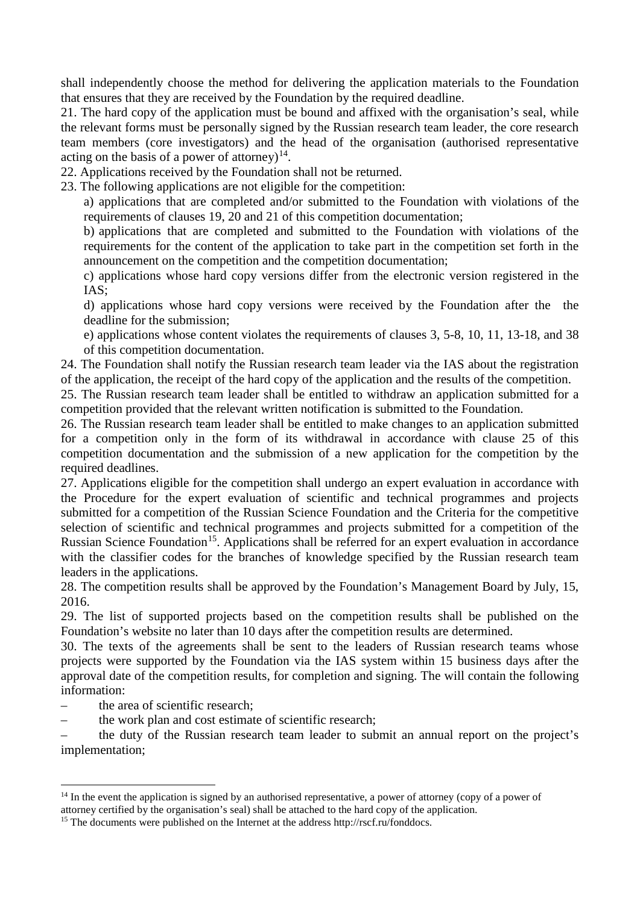shall independently choose the method for delivering the application materials to the Foundation that ensures that they are received by the Foundation by the required deadline.

21. The hard copy of the application must be bound and affixed with the organisation's seal, while the relevant forms must be personally signed by the Russian research team leader, the core research team members (core investigators) and the head of the organisation (authorised representative acting on the basis of a power of attorney)<sup>14</sup>.

22. Applications received by the Foundation shall not be returned.

23. The following applications are not eligible for the competition:

a) applications that are completed and/or submitted to the Foundation with violations of the requirements of clauses 19, 20 and 21 of this competition documentation;

b) applications that are completed and submitted to the Foundation with violations of the requirements for the content of the application to take part in the competition set forth in the announcement on the competition and the competition documentation;

c) applications whose hard copy versions differ from the electronic version registered in the IAS;

d) applications whose hard copy versions were received by the Foundation after the the deadline for the submission;

e) applications whose content violates the requirements of clauses 3, 5-8, 10, 11, 13-18, and 38 of this competition documentation.

24. The Foundation shall notify the Russian research team leader via the IAS about the registration of the application, the receipt of the hard copy of the application and the results of the competition.

25. The Russian research team leader shall be entitled to withdraw an application submitted for a competition provided that the relevant written notification is submitted to the Foundation.

26. The Russian research team leader shall be entitled to make changes to an application submitted for a competition only in the form of its withdrawal in accordance with clause 25 of this competition documentation and the submission of a new application for the competition by the required deadlines.

27. Applications eligible for the competition shall undergo an expert evaluation in accordance with the Procedure for the expert evaluation of scientific and technical programmes and projects submitted for a competition of the Russian Science Foundation and the Criteria for the competitive selection of scientific and technical programmes and projects submitted for a competition of the Russian Science Foundation<sup>15</sup>. Applications shall be referred for an expert evaluation in accordance with the classifier codes for the branches of knowledge specified by the Russian research team leaders in the applications.

28. The competition results shall be approved by the Foundation's Management Board by July, 15, 2016.

29. The list of supported projects based on the competition results shall be published on the Foundation's website no later than 10 days after the competition results are determined.

30. The texts of the agreements shall be sent to the leaders of Russian research teams whose projects were supported by the Foundation via the IAS system within 15 business days after the approval date of the competition results, for completion and signing. The will contain the following information:

– the area of scientific research;

-

the work plan and cost estimate of scientific research;

– the duty of the Russian research team leader to submit an annual report on the project's implementation;

<span id="page-3-0"></span><sup>&</sup>lt;sup>14</sup> In the event the application is signed by an authorised representative, a power of attorney (copy of a power of

attorney certified by the organisation's seal) shall be attached to the hard copy of the application.

<span id="page-3-1"></span><sup>&</sup>lt;sup>15</sup> The documents were published on the Internet at the address http://rscf.ru/fonddocs.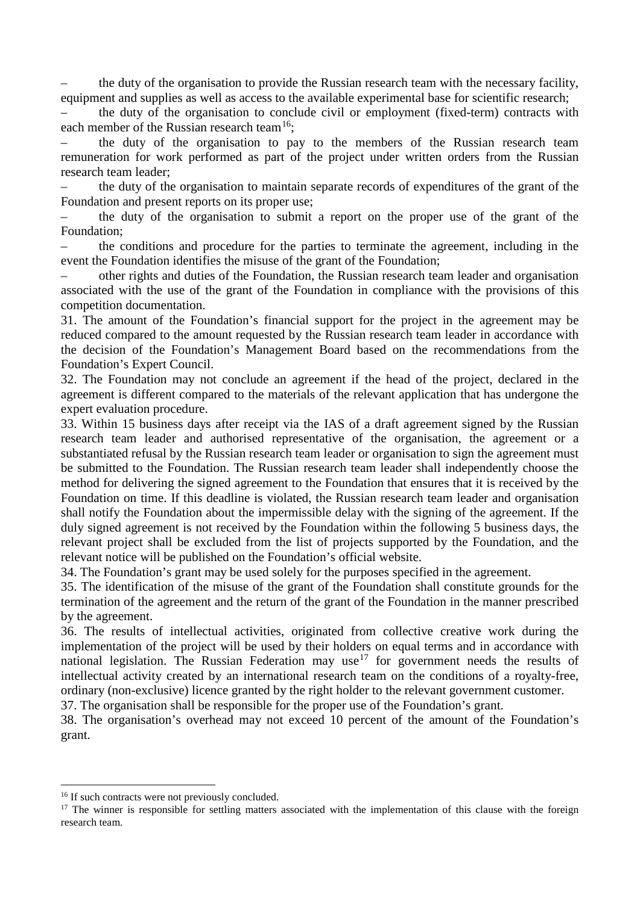– the duty of the organisation to provide the Russian research team with the necessary facility, equipment and supplies as well as access to the available experimental base for scientific research;

– the duty of the organisation to conclude civil or employment (fixed-term) contracts with each member of the Russian research team<sup>16</sup>;

– the duty of the organisation to pay to the members of the Russian research team remuneration for work performed as part of the project under written orders from the Russian research team leader;

– the duty of the organisation to maintain separate records of expenditures of the grant of the Foundation and present reports on its proper use;

– the duty of the organisation to submit a report on the proper use of the grant of the Foundation;

– the conditions and procedure for the parties to terminate the agreement, including in the event the Foundation identifies the misuse of the grant of the Foundation;

– other rights and duties of the Foundation, the Russian research team leader and organisation associated with the use of the grant of the Foundation in compliance with the provisions of this competition documentation.

31. The amount of the Foundation's financial support for the project in the agreement may be reduced compared to the amount requested by the Russian research team leader in accordance with the decision of the Foundation's Management Board based on the recommendations from the Foundation's Expert Council.

32. The Foundation may not conclude an agreement if the head of the project, declared in the agreement is different compared to the materials of the relevant application that has undergone the expert evaluation procedure.

33. Within 15 business days after receipt via the IAS of a draft agreement signed by the Russian research team leader and authorised representative of the organisation, the agreement or a substantiated refusal by the Russian research team leader or organisation to sign the agreement must be submitted to the Foundation. The Russian research team leader shall independently choose the method for delivering the signed agreement to the Foundation that ensures that it is received by the Foundation on time. If this deadline is violated, the Russian research team leader and organisation shall notify the Foundation about the impermissible delay with the signing of the agreement. If the duly signed agreement is not received by the Foundation within the following 5 business days, the relevant project shall be excluded from the list of projects supported by the Foundation, and the relevant notice will be published on the Foundation's official website.

34. The Foundation's grant may be used solely for the purposes specified in the agreement.

35. The identification of the misuse of the grant of the Foundation shall constitute grounds for the termination of the agreement and the return of the grant of the Foundation in the manner prescribed by the agreement.

36. The results of intellectual activities, originated from collective creative work during the implementation of the project will be used by their holders on equal terms and in accordance with national legislation. The Russian Federation may use<sup>[17](#page-4-1)</sup> for government needs the results of intellectual activity created by an international research team on the conditions of a royalty-free, ordinary (non-exclusive) licence granted by the right holder to the relevant government customer.

37. The organisation shall be responsible for the proper use of the Foundation's grant.

38. The organisation's overhead may not exceed 10 percent of the amount of the Foundation's grant.

<span id="page-4-0"></span><sup>&</sup>lt;sup>16</sup> If such contracts were not previously concluded.

<span id="page-4-1"></span> $17$  The winner is responsible for settling matters associated with the implementation of this clause with the foreign research team.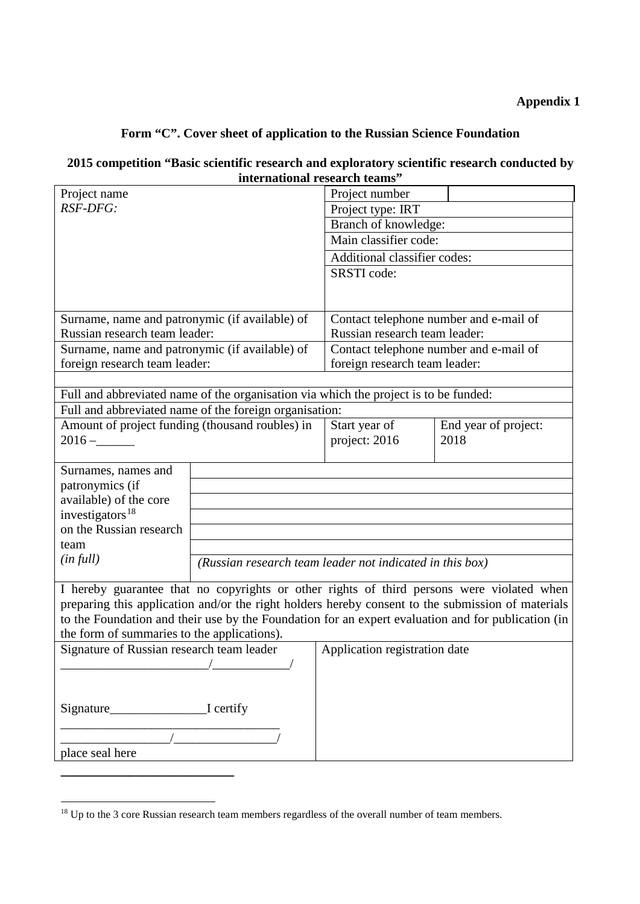# **Appendix 1**

# **Form "C". Cover sheet of application to the Russian Science Foundation**

# **2015 competition "Basic scientific research and exploratory scientific research conducted by international research teams"**

| Project name                                                                                                                                                                                            |                                                          | Project number                         |                      |  |
|---------------------------------------------------------------------------------------------------------------------------------------------------------------------------------------------------------|----------------------------------------------------------|----------------------------------------|----------------------|--|
| RSF-DFG:                                                                                                                                                                                                |                                                          | Project type: IRT                      |                      |  |
|                                                                                                                                                                                                         |                                                          | Branch of knowledge:                   |                      |  |
|                                                                                                                                                                                                         |                                                          | Main classifier code:                  |                      |  |
|                                                                                                                                                                                                         |                                                          | Additional classifier codes:           |                      |  |
|                                                                                                                                                                                                         |                                                          | SRSTI code:                            |                      |  |
|                                                                                                                                                                                                         |                                                          |                                        |                      |  |
|                                                                                                                                                                                                         |                                                          |                                        |                      |  |
| Surname, name and patronymic (if available) of                                                                                                                                                          |                                                          | Contact telephone number and e-mail of |                      |  |
| Russian research team leader:                                                                                                                                                                           |                                                          | Russian research team leader:          |                      |  |
| Surname, name and patronymic (if available) of                                                                                                                                                          |                                                          | Contact telephone number and e-mail of |                      |  |
| foreign research team leader:                                                                                                                                                                           |                                                          | foreign research team leader:          |                      |  |
|                                                                                                                                                                                                         |                                                          |                                        |                      |  |
| Full and abbreviated name of the organisation via which the project is to be funded:                                                                                                                    |                                                          |                                        |                      |  |
|                                                                                                                                                                                                         | Full and abbreviated name of the foreign organisation:   |                                        |                      |  |
| Amount of project funding (thousand roubles) in                                                                                                                                                         |                                                          | Start year of                          | End year of project: |  |
| $2016 -$                                                                                                                                                                                                |                                                          | project: 2016                          | 2018                 |  |
|                                                                                                                                                                                                         |                                                          |                                        |                      |  |
| Surnames, names and                                                                                                                                                                                     |                                                          |                                        |                      |  |
| patronymics (if                                                                                                                                                                                         |                                                          |                                        |                      |  |
| available) of the core                                                                                                                                                                                  |                                                          |                                        |                      |  |
| investigators <sup>18</sup>                                                                                                                                                                             |                                                          |                                        |                      |  |
| on the Russian research                                                                                                                                                                                 |                                                          |                                        |                      |  |
| team                                                                                                                                                                                                    |                                                          |                                        |                      |  |
| (in full)                                                                                                                                                                                               | (Russian research team leader not indicated in this box) |                                        |                      |  |
|                                                                                                                                                                                                         |                                                          |                                        |                      |  |
| I hereby guarantee that no copyrights or other rights of third persons were violated when                                                                                                               |                                                          |                                        |                      |  |
| preparing this application and/or the right holders hereby consent to the submission of materials<br>to the Foundation and their use by the Foundation for an expert evaluation and for publication (in |                                                          |                                        |                      |  |
|                                                                                                                                                                                                         |                                                          |                                        |                      |  |
| the form of summaries to the applications).                                                                                                                                                             |                                                          |                                        |                      |  |
| Signature of Russian research team leader<br>$\overline{\phantom{a}}$                                                                                                                                   |                                                          | Application registration date          |                      |  |
|                                                                                                                                                                                                         |                                                          |                                        |                      |  |
|                                                                                                                                                                                                         |                                                          |                                        |                      |  |
|                                                                                                                                                                                                         |                                                          |                                        |                      |  |
|                                                                                                                                                                                                         |                                                          |                                        |                      |  |
|                                                                                                                                                                                                         |                                                          |                                        |                      |  |
| place seal here                                                                                                                                                                                         |                                                          |                                        |                      |  |
|                                                                                                                                                                                                         |                                                          |                                        |                      |  |
|                                                                                                                                                                                                         |                                                          |                                        |                      |  |

<u>.</u>

<span id="page-5-0"></span><sup>&</sup>lt;sup>18</sup> Up to the 3 core Russian research team members regardless of the overall number of team members.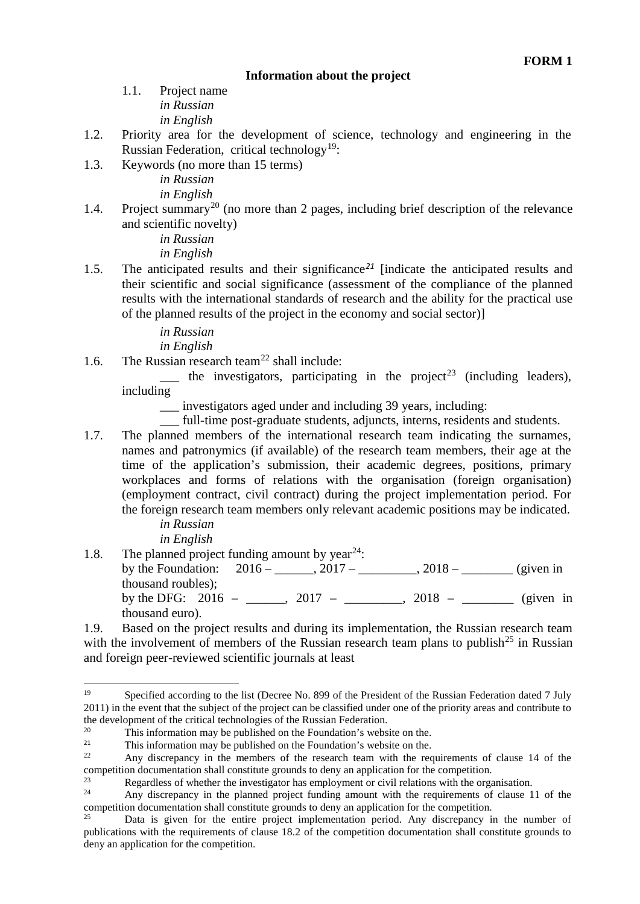### **Information about the project**

1.1. Project name *in Russian in English*

- 1.2. Priority area for the development of science, technology and engineering in the Russian Federation, critical technology<sup>19</sup>:
- 1.3. Keywords (no more than 15 terms)

*in Russian in English*

1.4. Project summary<sup>[20](#page-6-1)</sup> (no more than 2 pages, including brief description of the relevance and scientific novelty)

> *in Russian in English*

1.5. The anticipated results and their significance*[21](#page-6-2)* [indicate the anticipated results and their scientific and social significance (assessment of the compliance of the planned results with the international standards of research and the ability for the practical use of the planned results of the project in the economy and social sector)]

*in Russian*

*in English*

1.6. The Russian research team<sup>[22](#page-6-3)</sup> shall include:

 $\frac{1}{\sqrt{1-\frac{1}{\sqrt{1-\frac{1}{\sqrt{1-\frac{1}{\sqrt{1-\frac{1}{\sqrt{1-\frac{1}{\sqrt{1-\frac{1}{\sqrt{1-\frac{1}{\sqrt{1-\frac{1}{\sqrt{1-\frac{1}{\sqrt{1-\frac{1}{\sqrt{1-\frac{1}{\sqrt{1-\frac{1}{\sqrt{1-\frac{1}{\sqrt{1-\frac{1}{\sqrt{1-\frac{1}{\sqrt{1-\frac{1}{\sqrt{1-\frac{1}{\sqrt{1-\frac{1}{\sqrt{1-\frac{1}{\sqrt{1-\frac{1}{\sqrt{1-\frac{1}{\sqrt{1-\frac{1}{\sqrt{1-\frac{1}{\sqrt{1-\frac{1$ including

\_\_\_ investigators aged under and including 39 years, including:

\_\_\_ full-time post-graduate students, adjuncts, interns, residents and students.

1.7. The planned members of the international research team indicating the surnames, names and patronymics (if available) of the research team members, their age at the time of the application's submission, their academic degrees, positions, primary workplaces and forms of relations with the organisation (foreign organisation) (employment contract, civil contract) during the project implementation period. For the foreign research team members only relevant academic positions may be indicated.

> *in Russian in English*

1.8. The planned project funding amount by year<sup>[24](#page-6-5)</sup>:

by the Foundation:  $2016 - 2017 - 2017 - 2018 -$  (given in thousand roubles); by the DFG: 2016 – \_\_\_\_\_, 2017 – \_\_\_\_\_\_\_, 2018 – \_\_\_\_\_\_\_ (given in thousand euro).

1.9. Based on the project results and during its implementation, the Russian research team with the involvement of members of the Russian research team plans to publish<sup>[25](#page-6-6)</sup> in Russian and foreign peer-reviewed scientific journals at least

<span id="page-6-0"></span>Specified according to the list (Decree No. 899 of the President of the Russian Federation dated 7 July 2011) in the event that the subject of the project can be classified under one of the priority areas and contribute to 19

<span id="page-6-1"></span>the development of the critical technologies of the Russian Federation.<br><sup>20</sup> This information may be published on the Foundation's website on the.<br><sup>21</sup> This information may be published on the Foundation's website on the

<span id="page-6-2"></span><sup>&</sup>lt;sup>21</sup> This information may be published on the Foundation's website on the.<br><sup>22</sup> Any discusses in the mapping of the geograph team with the geograph

<span id="page-6-3"></span>Any discrepancy in the members of the research team with the requirements of clause 14 of the competition documentation shall constitute grounds to deny an application for the competition.

<span id="page-6-4"></span><sup>&</sup>lt;sup>23</sup><br>Regardless of whether the investigator has employment or civil relations with the organisation.<br><sup>24</sup> Any discrepancy in the planned project funding amount with the requirements of clause 1

<span id="page-6-5"></span>Any discrepancy in the planned project funding amount with the requirements of clause 11 of the competition documentation shall constitute grounds to deny an application for the competition.

<span id="page-6-6"></span>Data is given for the entire project implementation period. Any discrepancy in the number of publications with the requirements of clause 18.2 of the competition documentation shall constitute grounds to deny an application for the competition.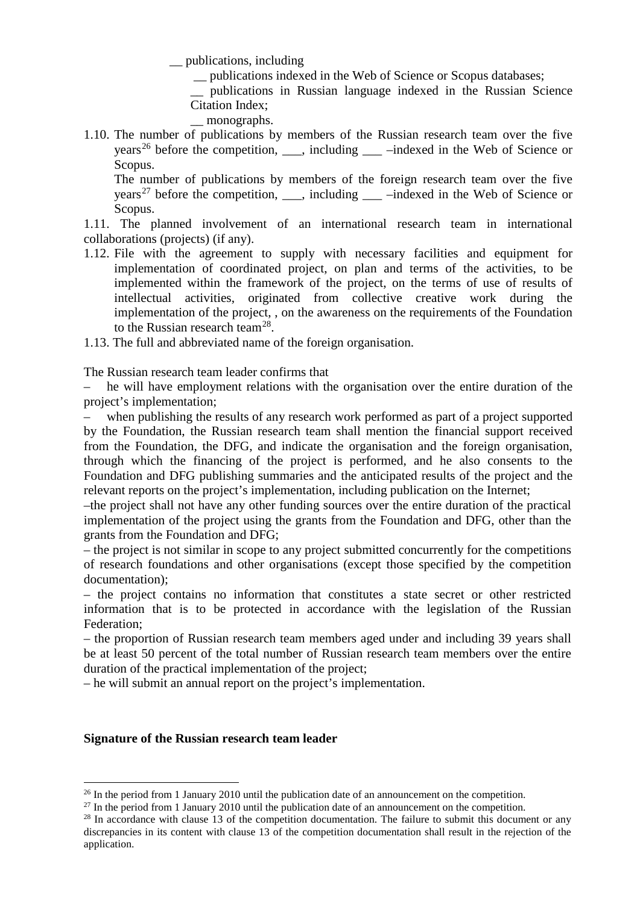\_\_ publications, including

\_\_ publications indexed in the Web of Science or Scopus databases;

\_\_ publications in Russian language indexed in the Russian Science Citation Index;

- monographs.
- 1.10. The number of publications by members of the Russian research team over the five years<sup>[26](#page-7-0)</sup> before the competition,  $\ddot{\text{u}}$ , including  $\ddot{\text{u}}$  –indexed in the Web of Science or Scopus.

The number of publications by members of the foreign research team over the five years<sup>[27](#page-7-1)</sup> before the competition,  $\ddot{\text{u}}$ , including  $\ddot{\text{u}}$  –indexed in the Web of Science or Scopus.

1.11. The planned involvement of an international research team in international collaborations (projects) (if any).

- 1.12. File with the agreement to supply with necessary facilities and equipment for implementation of coordinated project, on plan and terms of the activities, to be implemented within the framework of the project, on the terms of use of results of intellectual activities, originated from collective creative work during the implementation of the project, , on the awareness on the requirements of the Foundation to the Russian research team<sup>[28](#page-7-2)</sup>.
- 1.13. The full and abbreviated name of the foreign organisation.

The Russian research team leader confirms that

– he will have employment relations with the organisation over the entire duration of the project's implementation;

when publishing the results of any research work performed as part of a project supported by the Foundation, the Russian research team shall mention the financial support received from the Foundation, the DFG, and indicate the organisation and the foreign organisation, through which the financing of the project is performed, and he also consents to the Foundation and DFG publishing summaries and the anticipated results of the project and the relevant reports on the project's implementation, including publication on the Internet;

–the project shall not have any other funding sources over the entire duration of the practical implementation of the project using the grants from the Foundation and DFG, other than the grants from the Foundation and DFG;

– the project is not similar in scope to any project submitted concurrently for the competitions of research foundations and other organisations (except those specified by the competition documentation);

– the project contains no information that constitutes a state secret or other restricted information that is to be protected in accordance with the legislation of the Russian Federation;

– the proportion of Russian research team members aged under and including 39 years shall be at least 50 percent of the total number of Russian research team members over the entire duration of the practical implementation of the project;

– he will submit an annual report on the project's implementation.

#### **Signature of the Russian research team leader**

<sup>&</sup>lt;sup>26</sup> In the period from 1 January 2010 until the publication date of an announcement on the competition.

<span id="page-7-1"></span><span id="page-7-0"></span> $^{27}$  In the period from 1 January 2010 until the publication date of an announcement on the competition.

<span id="page-7-2"></span><sup>&</sup>lt;sup>28</sup> In accordance with clause 13 of the competition documentation. The failure to submit this document or any discrepancies in its content with clause 13 of the competition documentation shall result in the rejection of the application.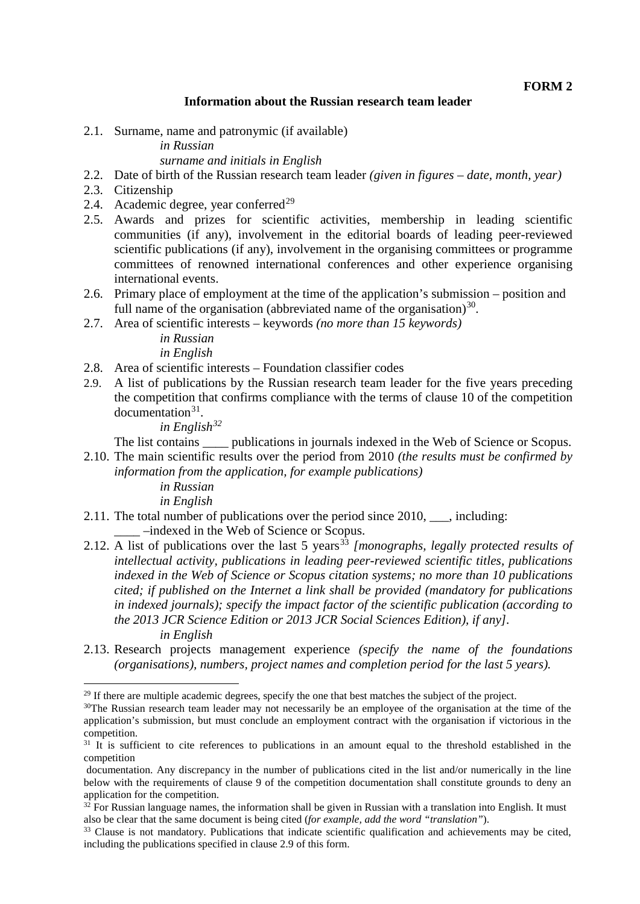#### **Information about the Russian research team leader**

2.1. Surname, name and patronymic (if available)

*in Russian*

#### *surname and initials in English*

- 2.2. Date of birth of the Russian research team leader *(given in figures – date, month, year)*
- 2.3. Citizenship
- 2.4. Academic degree, year conferred<sup>[29](#page-8-0)</sup>
- 2.5. Awards and prizes for scientific activities, membership in leading scientific communities (if any), involvement in the editorial boards of leading peer-reviewed scientific publications (if any), involvement in the organising committees or programme committees of renowned international conferences and other experience organising international events.
- 2.6. Primary place of employment at the time of the application's submission position and full name of the organisation (abbreviated name of the organisation) $30$ .
- 2.7. Area of scientific interests keywords *(no more than 15 keywords)*

*in Russian in English*

- 2.8. Area of scientific interests Foundation classifier codes
- 2.9. A list of publications by the Russian research team leader for the five years preceding the competition that confirms compliance with the terms of clause 10 of the competition  $d$ ocumentation $31$ .

*in English[32](#page-8-3)*

The list contains publications in journals indexed in the Web of Science or Scopus.

- 2.10. The main scientific results over the period from 2010 *(the results must be confirmed by information from the application, for example publications)*
	- *in Russian in English*
- 2.11. The total number of publications over the period since 2010, \_\_\_, including: \_\_\_\_ –indexed in the Web of Science or Scopus.
- 2.12. A list of publications over the last 5 years<sup>[33](#page-8-4)</sup> *[monographs, legally protected results of intellectual activity, publications in leading peer-reviewed scientific titles, publications indexed in the Web of Science or Scopus citation systems; no more than 10 publications cited; if published on the Internet a link shall be provided (mandatory for publications in indexed journals); specify the impact factor of the scientific publication (according to the 2013 JCR Science Edition or 2013 JCR Social Sciences Edition), if any]. in English*
- 2.13. Research projects management experience *(specify the name of the foundations (organisations), numbers, project names and completion period for the last 5 years).*

<sup>&</sup>lt;sup>29</sup> If there are multiple academic degrees, specify the one that best matches the subject of the project. <u>.</u>

<span id="page-8-1"></span><span id="page-8-0"></span><sup>&</sup>lt;sup>30</sup>The Russian research team leader may not necessarily be an employee of the organisation at the time of the application's submission, but must conclude an employment contract with the organisation if victorious in the competition.

<span id="page-8-2"></span> $31$  It is sufficient to cite references to publications in an amount equal to the threshold established in the competition

documentation. Any discrepancy in the number of publications cited in the list and/or numerically in the line below with the requirements of clause 9 of the competition documentation shall constitute grounds to deny an application for the competition.

<span id="page-8-3"></span> $32$  For Russian language names, the information shall be given in Russian with a translation into English. It must also be clear that the same document is being cited (for example, add the word "translation").

<span id="page-8-4"></span><sup>&</sup>lt;sup>33</sup> Clause is not mandatory. Publications that indicate scientific qualification and achievements may be cited, including the publications specified in clause 2.9 of this form.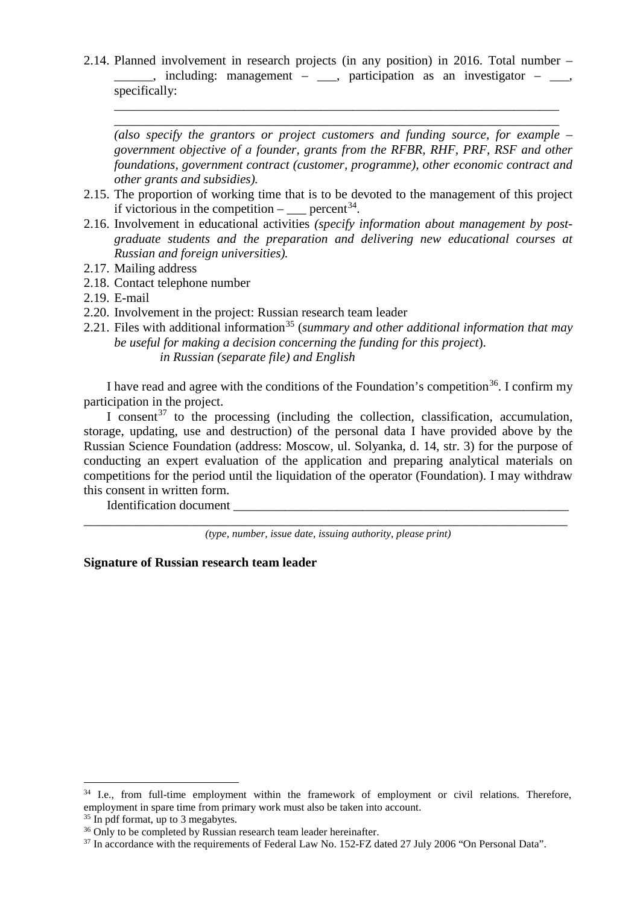2.14. Planned involvement in research projects (in any position) in 2016. Total number –  $\Box$ , including: management –  $\Box$ , participation as an investigator –  $\Box$ , specifically:

\_\_\_\_\_\_\_\_\_\_\_\_\_\_\_\_\_\_\_\_\_\_\_\_\_\_\_\_\_\_\_\_\_\_\_\_\_\_\_\_\_\_\_\_\_\_\_\_\_\_\_\_\_\_\_\_\_\_\_\_\_\_\_\_\_\_\_\_\_ \_\_\_\_\_\_\_\_\_\_\_\_\_\_\_\_\_\_\_\_\_\_\_\_\_\_\_\_\_\_\_\_\_\_\_\_\_\_\_\_\_\_\_\_\_\_\_\_\_\_\_\_\_\_\_\_\_\_\_\_\_\_\_\_\_\_\_\_\_

*(also specify the grantors or project customers and funding source, for example – government objective of a founder, grants from the RFBR, RHF, PRF, RSF and other foundations, government contract (customer, programme), other economic contract and other grants and subsidies).*

- 2.15. The proportion of working time that is to be devoted to the management of this project if victorious in the competition –  $\qquad$  percent<sup>34</sup>.
- 2.16. Involvement in educational activities *(specify information about management by postgraduate students and the preparation and delivering new educational courses at Russian and foreign universities).*
- 2.17. Mailing address
- 2.18. Contact telephone number
- 2.19. E-mail
- 2.20. Involvement in the project: Russian research team leader
- 2.21. Files with additional information<sup>[35](#page-9-1)</sup> (*summary and other additional information that may be useful for making a decision concerning the funding for this project*). *in Russian (separate file) and English*

I have read and agree with the conditions of the Foundation's competition<sup>36</sup>. I confirm my participation in the project.

I consent<sup>[37](#page-9-3)</sup> to the processing (including the collection, classification, accumulation, storage, updating, use and destruction) of the personal data I have provided above by the Russian Science Foundation (address: Moscow, ul. Solyanka, d. 14, str. 3) for the purpose of conducting an expert evaluation of the application and preparing analytical materials on competitions for the period until the liquidation of the operator (Foundation). I may withdraw this consent in written form.

Identification document

\_\_\_\_\_\_\_\_\_\_\_\_\_\_\_\_\_\_\_\_\_\_\_\_\_\_\_\_\_\_\_\_\_\_\_\_\_\_\_\_\_\_\_\_\_\_\_\_\_\_\_\_\_\_\_\_\_\_\_\_\_\_\_\_\_\_\_\_\_\_\_\_\_\_\_ *(type, number, issue date, issuing authority, please print)*

**Signature of Russian research team leader**

<span id="page-9-0"></span><sup>&</sup>lt;sup>34</sup> I.e., from full-time employment within the framework of employment or civil relations. Therefore, employment in spare time from primary work must also be taken into account.

<span id="page-9-2"></span><span id="page-9-1"></span> $35$  In pdf format, up to 3 megabytes.<br> $36$  Only to be completed by Russian research team leader hereinafter.

<span id="page-9-3"></span> $37$  In accordance with the requirements of Federal Law No. 152-FZ dated 27 July 2006 "On Personal Data".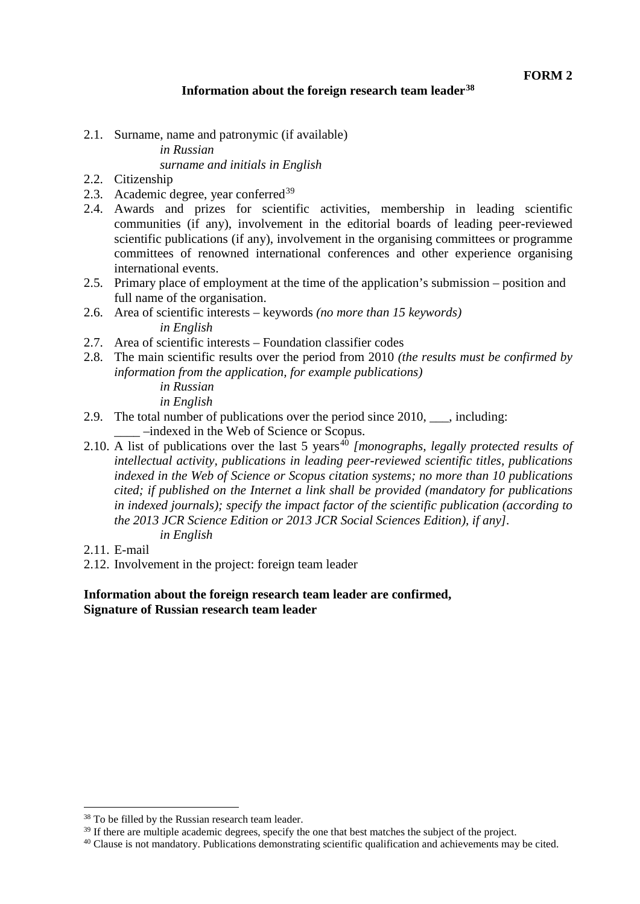### **Information about the foreign research team leader[38](#page-10-0)**

2.1. Surname, name and patronymic (if available) *in Russian*

# *surname and initials in English*

- 2.2. Citizenship
- 2.3. Academic degree, year conferred  $39$
- 2.4. Awards and prizes for scientific activities, membership in leading scientific communities (if any), involvement in the editorial boards of leading peer-reviewed scientific publications (if any), involvement in the organising committees or programme committees of renowned international conferences and other experience organising international events.
- 2.5. Primary place of employment at the time of the application's submission position and full name of the organisation.
- 2.6. Area of scientific interests keywords *(no more than 15 keywords) in English*
- 2.7. Area of scientific interests Foundation classifier codes
- 2.8. The main scientific results over the period from 2010 *(the results must be confirmed by information from the application, for example publications) in Russian*

*in English*

- 2.9. The total number of publications over the period since 2010, \_\_\_, including: \_\_\_\_ –indexed in the Web of Science or Scopus.
- 2.10. A list of publications over the last 5 years<sup>[40](#page-10-2)</sup> [monographs, legally protected results of *intellectual activity, publications in leading peer-reviewed scientific titles, publications indexed in the Web of Science or Scopus citation systems; no more than 10 publications cited; if published on the Internet a link shall be provided (mandatory for publications in indexed journals); specify the impact factor of the scientific publication (according to the 2013 JCR Science Edition or 2013 JCR Social Sciences Edition), if any]. in English*
- 2.11. E-mail
- 2.12. Involvement in the project: foreign team leader

**Information about the foreign research team leader are confirmed, Signature of Russian research team leader**

<sup>&</sup>lt;sup>38</sup> To be filled by the Russian research team leader. -

<span id="page-10-1"></span><span id="page-10-0"></span><sup>&</sup>lt;sup>39</sup> If there are multiple academic degrees, specify the one that best matches the subject of the project.

<span id="page-10-2"></span><sup>40</sup> Clause is not mandatory. Publications demonstrating scientific qualification and achievements may be cited.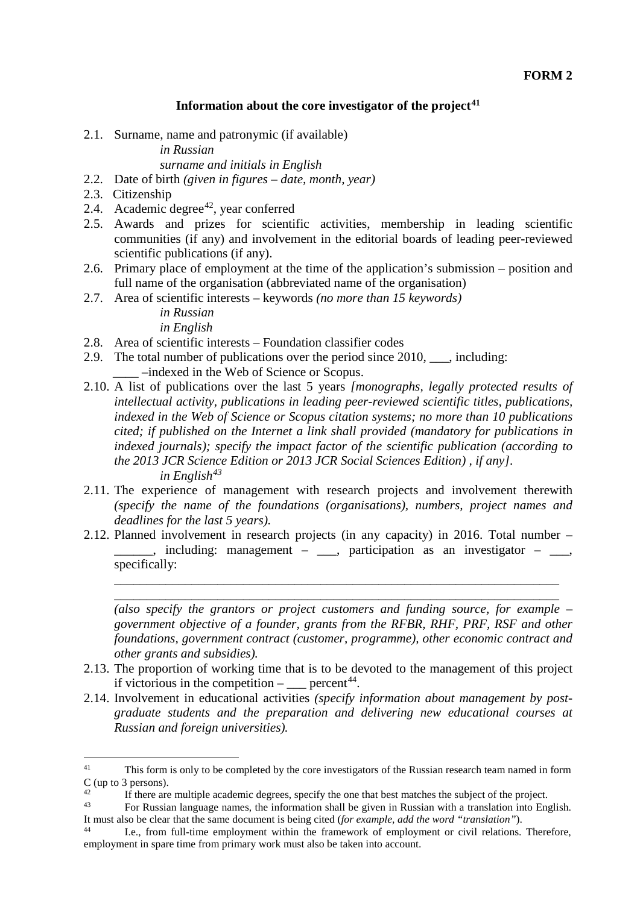### **Information about the core investigator of the project[41](#page-11-0)**

2.1. Surname, name and patronymic (if available)

*in Russian*

*surname and initials in English*

- 2.2. Date of birth *(given in figures – date, month, year)*
- 2.3. Citizenship
- 2.4. Academic degree<sup>42</sup>, year conferred
- 2.5. Awards and prizes for scientific activities, membership in leading scientific communities (if any) and involvement in the editorial boards of leading peer-reviewed scientific publications (if any).
- 2.6. Primary place of employment at the time of the application's submission position and full name of the organisation (abbreviated name of the organisation)
- 2.7. Area of scientific interests keywords *(no more than 15 keywords)*

*in Russian in English*

- 2.8. Area of scientific interests Foundation classifier codes
- 2.9. The total number of publications over the period since 2010, \_\_\_, including: \_\_\_\_ –indexed in the Web of Science or Scopus.
- 2.10. A list of publications over the last 5 years *[monographs, legally protected results of intellectual activity, publications in leading peer-reviewed scientific titles, publications, indexed in the Web of Science or Scopus citation systems; no more than 10 publications cited; if published on the Internet a link shall provided (mandatory for publications in indexed journals); specify the impact factor of the scientific publication (according to the 2013 JCR Science Edition or 2013 JCR Social Sciences Edition) , if any]. in English[43](#page-11-2)*
- 2.11. The experience of management with research projects and involvement therewith *(specify the name of the foundations (organisations), numbers, project names and deadlines for the last 5 years).*
- 2.12. Planned involvement in research projects (in any capacity) in 2016. Total number  $\mu$ , including: management –  $\mu$ , participation as an investigator –  $\mu$ , specifically:

\_\_\_\_\_\_\_\_\_\_\_\_\_\_\_\_\_\_\_\_\_\_\_\_\_\_\_\_\_\_\_\_\_\_\_\_\_\_\_\_\_\_\_\_\_\_\_\_\_\_\_\_\_\_\_\_\_\_\_\_\_\_\_\_\_\_\_\_\_ \_\_\_\_\_\_\_\_\_\_\_\_\_\_\_\_\_\_\_\_\_\_\_\_\_\_\_\_\_\_\_\_\_\_\_\_\_\_\_\_\_\_\_\_\_\_\_\_\_\_\_\_\_\_\_\_\_\_\_\_\_\_\_\_\_\_\_\_\_

*(also specify the grantors or project customers and funding source, for example – government objective of a founder, grants from the RFBR, RHF, PRF, RSF and other foundations, government contract (customer, programme), other economic contract and other grants and subsidies).*

- 2.13. The proportion of working time that is to be devoted to the management of this project if victorious in the competition  $-$  percent<sup>44</sup>.
- 2.14. Involvement in educational activities *(specify information about management by postgraduate students and the preparation and delivering new educational courses at Russian and foreign universities).*

<span id="page-11-0"></span>This form is only to be completed by the core investigators of the Russian research team named in form  $\frac{C}{42}$  (up to 3 persons).  $41$ 

<span id="page-11-1"></span><sup>&</sup>lt;sup>42</sup><br>If there are multiple academic degrees, specify the one that best matches the subject of the project.

<span id="page-11-2"></span><sup>&</sup>lt;sup>43</sup> For Russian language names, the information shall be given in Russian with a translation into English. It must also be clear that the same document is being cited *(for example, add the word "translation")*.

<span id="page-11-3"></span>I.e., from full-time employment within the framework of employment or civil relations. Therefore, employment in spare time from primary work must also be taken into account.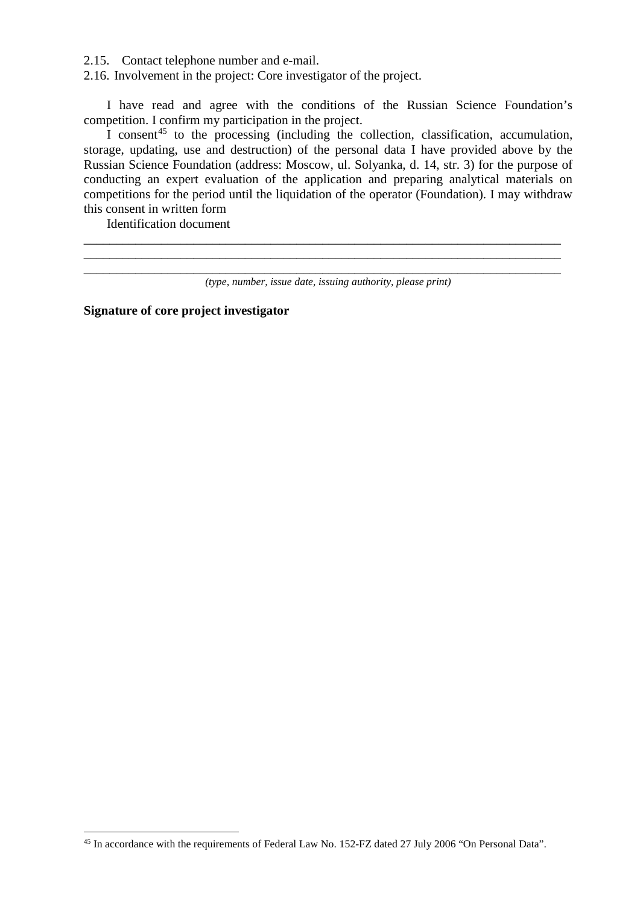2.15. Contact telephone number and e-mail.

2.16. Involvement in the project: Core investigator of the project.

I have read and agree with the conditions of the Russian Science Foundation's competition. I confirm my participation in the project.

I consent<sup>[45](#page-12-0)</sup> to the processing (including the collection, classification, accumulation, storage, updating, use and destruction) of the personal data I have provided above by the Russian Science Foundation (address: Moscow, ul. Solyanka, d. 14, str. 3) for the purpose of conducting an expert evaluation of the application and preparing analytical materials on competitions for the period until the liquidation of the operator (Foundation). I may withdraw this consent in written form

Identification document

<u>.</u>

\_\_\_\_\_\_\_\_\_\_\_\_\_\_\_\_\_\_\_\_\_\_\_\_\_\_\_\_\_\_\_\_\_\_\_\_\_\_\_\_\_\_\_\_\_\_\_\_\_\_\_\_\_\_\_\_\_\_\_\_\_\_\_\_\_\_\_\_\_\_\_\_\_\_ \_\_\_\_\_\_\_\_\_\_\_\_\_\_\_\_\_\_\_\_\_\_\_\_\_\_\_\_\_\_\_\_\_\_\_\_\_\_\_\_\_\_\_\_\_\_\_\_\_\_\_\_\_\_\_\_\_\_\_\_\_\_\_\_\_\_\_\_\_\_\_\_\_\_

**Signature of core project investigator**

\_\_\_\_\_\_\_\_\_\_\_\_\_\_\_\_\_\_\_\_\_\_\_\_\_\_\_\_\_\_\_\_\_\_\_\_\_\_\_\_\_\_\_\_\_\_\_\_\_\_\_\_\_\_\_\_\_\_\_\_\_\_\_\_\_\_\_\_\_\_\_\_\_\_ *(type, number, issue date, issuing authority, please print)*

<span id="page-12-0"></span><sup>45</sup> In accordance with the requirements of Federal Law No. 152-FZ dated 27 July 2006 "On Personal Data".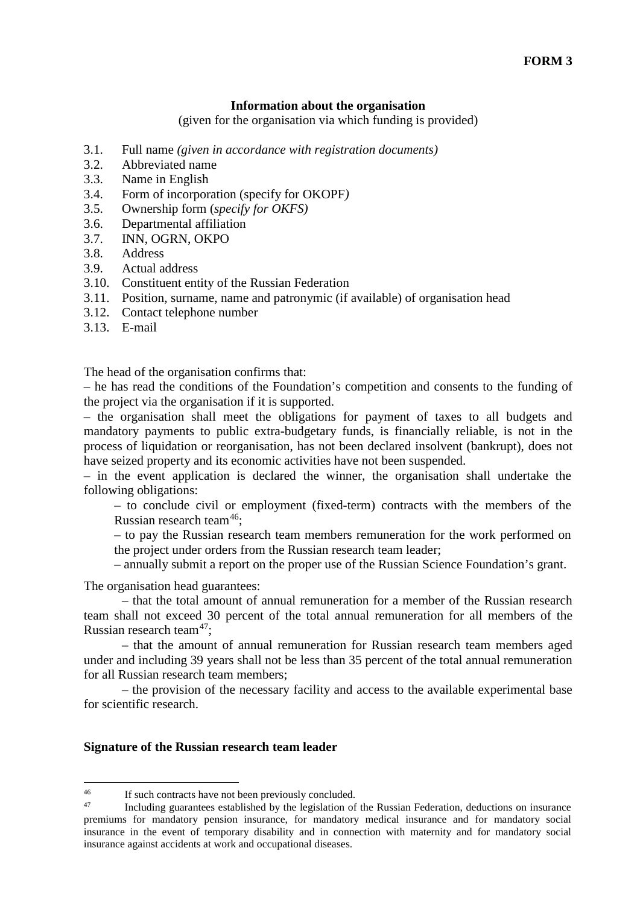### **Information about the organisation**

(given for the organisation via which funding is provided)

- 3.1. Full name *(given in accordance with registration documents)*
- 3.2. Abbreviated name
- 3.3. Name in English
- 3.4. Form of incorporation (specify for OKOPF*)*
- 3.5. Ownership form (*specify for OKFS)*
- 3.6. Departmental affiliation
- 3.7. INN, OGRN, OKPO
- 3.8. Address
- 3.9. Actual address
- 3.10. Constituent entity of the Russian Federation
- 3.11. Position, surname, name and patronymic (if available) of organisation head
- 3.12. Contact telephone number
- 3.13. E-mail

The head of the organisation confirms that:

– he has read the conditions of the Foundation's competition and consents to the funding of the project via the organisation if it is supported.

– the organisation shall meet the obligations for payment of taxes to all budgets and mandatory payments to public extra-budgetary funds, is financially reliable, is not in the process of liquidation or reorganisation, has not been declared insolvent (bankrupt), does not have seized property and its economic activities have not been suspended.

– in the event application is declared the winner, the organisation shall undertake the following obligations:

– to conclude civil or employment (fixed-term) contracts with the members of the Russian research team[46](#page-13-0);

– to pay the Russian research team members remuneration for the work performed on the project under orders from the Russian research team leader;

– annually submit a report on the proper use of the Russian Science Foundation's grant.

The organisation head guarantees:

– that the total amount of annual remuneration for a member of the Russian research team shall not exceed 30 percent of the total annual remuneration for all members of the Russian research team<sup>47</sup>:

– that the amount of annual remuneration for Russian research team members aged under and including 39 years shall not be less than 35 percent of the total annual remuneration for all Russian research team members;

– the provision of the necessary facility and access to the available experimental base for scientific research.

#### **Signature of the Russian research team leader**

<span id="page-13-0"></span><sup>&</sup>lt;sup>46</sup> If such contracts have not been previously concluded.<br><sup>47</sup> Including quagations attached by the logislation of  $\overline{AB}$ 

<span id="page-13-1"></span>Including guarantees established by the legislation of the Russian Federation, deductions on insurance premiums for mandatory pension insurance, for mandatory medical insurance and for mandatory social insurance in the event of temporary disability and in connection with maternity and for mandatory social insurance against accidents at work and occupational diseases.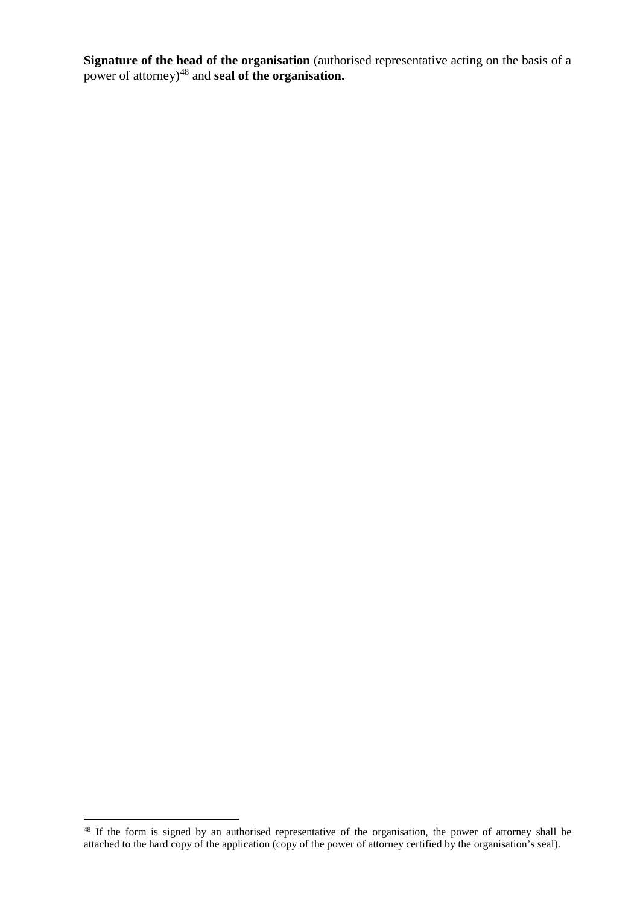**Signature of the head of the organisation** (authorised representative acting on the basis of a power of attorney)[48](#page-14-0) and **seal of the organisation.**

<span id="page-14-0"></span><sup>&</sup>lt;sup>48</sup> If the form is signed by an authorised representative of the organisation, the power of attorney shall be attached to the hard copy of the application (copy of the power of attorney certified by the organisation's seal).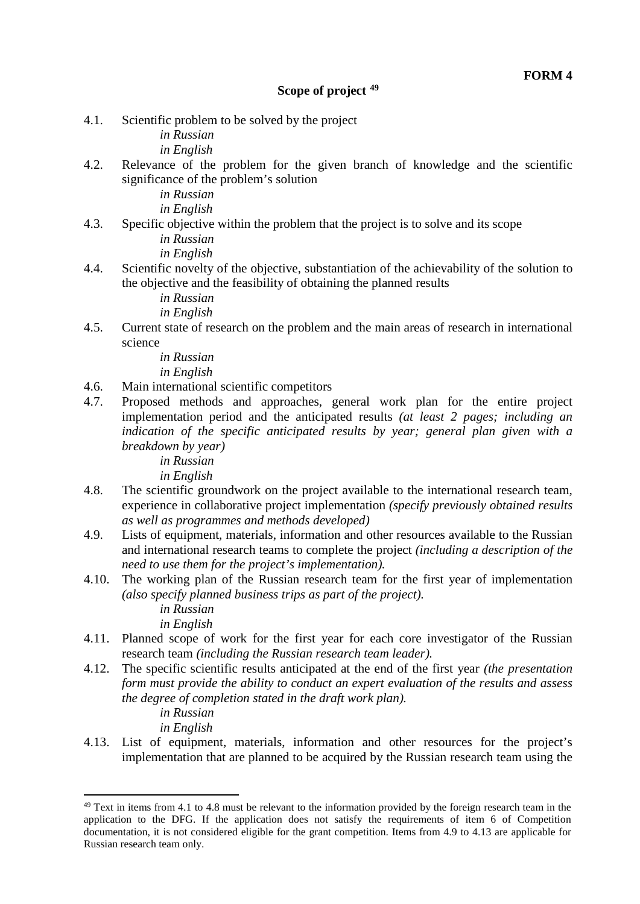4.1. Scientific problem to be solved by the project

*in Russian*

*in English*

4.2. Relevance of the problem for the given branch of knowledge and the scientific significance of the problem's solution

*in Russian*

*in English*

4.3. Specific objective within the problem that the project is to solve and its scope

*in Russian in English*

4.4. Scientific novelty of the objective, substantiation of the achievability of the solution to the objective and the feasibility of obtaining the planned results

*in Russian*

*in English*

4.5. Current state of research on the problem and the main areas of research in international science

> *in Russian in English*

- 4.6. Main international scientific competitors
- 4.7. Proposed methods and approaches, general work plan for the entire project implementation period and the anticipated results *(at least 2 pages; including an indication of the specific anticipated results by year; general plan given with a breakdown by year)*

*in Russian*

- *in English*
- 4.8. The scientific groundwork on the project available to the international research team, experience in collaborative project implementation *(specify previously obtained results as well as programmes and methods developed)*
- 4.9. Lists of equipment, materials, information and other resources available to the Russian and international research teams to complete the project *(including a description of the need to use them for the project's implementation).*
- 4.10. The working plan of the Russian research team for the first year of implementation *(also specify planned business trips as part of the project).*

*in Russian in English*

- 4.11. Planned scope of work for the first year for each core investigator of the Russian research team *(including the Russian research team leader).*
- 4.12. The specific scientific results anticipated at the end of the first year *(the presentation form must provide the ability to conduct an expert evaluation of the results and assess the degree of completion stated in the draft work plan).*

*in Russian*

-

*in English*

4.13. List of equipment, materials, information and other resources for the project's implementation that are planned to be acquired by the Russian research team using the

<span id="page-15-0"></span> $49$  Text in items from 4.1 to 4.8 must be relevant to the information provided by the foreign research team in the application to the DFG. If the application does not satisfy the requirements of item 6 of Competition documentation, it is not considered eligible for the grant competition. Items from 4.9 to 4.13 are applicable for Russian research team only.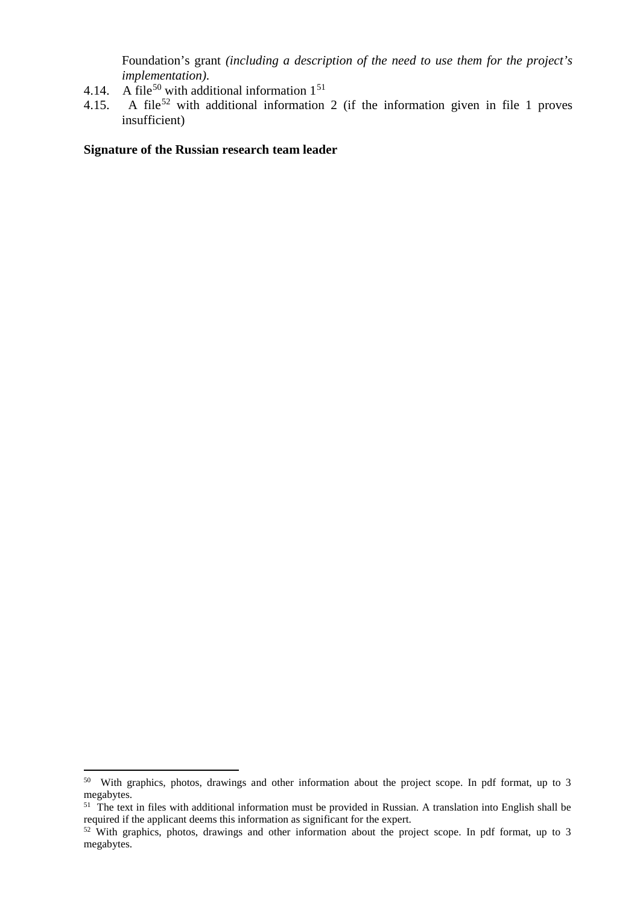Foundation's grant *(including a description of the need to use them for the project's implementation)*.

- 4.14. A file<sup>[50](#page-16-0)</sup> with additional information  $1^{51}$  $1^{51}$  $1^{51}$ <br>4.15. A file<sup>52</sup> with additional information
- A file<sup>[52](#page-16-2)</sup> with additional information 2 (if the information given in file 1 proves insufficient)

#### **Signature of the Russian research team leader**

<u>.</u>

<span id="page-16-0"></span><sup>&</sup>lt;sup>50</sup> With graphics, photos, drawings and other information about the project scope. In pdf format, up to 3 megabytes.

<span id="page-16-1"></span> $51$  The text in files with additional information must be provided in Russian. A translation into English shall be required if the applicant deems this information as significant for the expert.

<span id="page-16-2"></span><sup>&</sup>lt;sup>52</sup> With graphics, photos, drawings and other information about the project scope. In pdf format, up to 3 megabytes.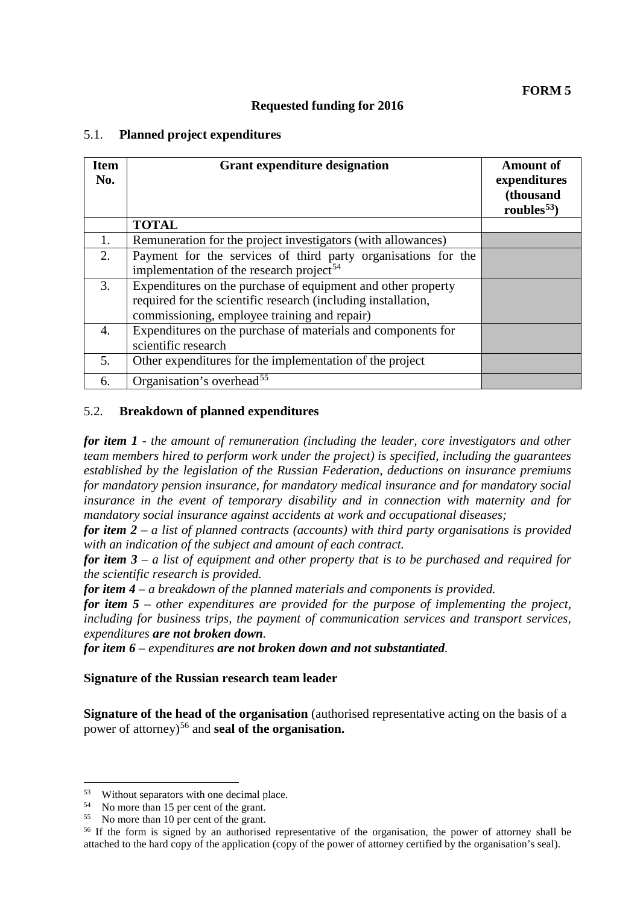### **Requested funding for 2016**

### 5.1. **Planned project expenditures**

| <b>Item</b><br>No. | <b>Grant expenditure designation</b>                                                                                                                                          | <b>Amount of</b><br>expenditures<br>(thousand<br>roubles <sup>53</sup> ) |
|--------------------|-------------------------------------------------------------------------------------------------------------------------------------------------------------------------------|--------------------------------------------------------------------------|
|                    | <b>TOTAL</b>                                                                                                                                                                  |                                                                          |
| 1.                 | Remuneration for the project investigators (with allowances)                                                                                                                  |                                                                          |
| 2.                 | Payment for the services of third party organisations for the<br>implementation of the research project <sup>54</sup>                                                         |                                                                          |
| 3.                 | Expenditures on the purchase of equipment and other property<br>required for the scientific research (including installation,<br>commissioning, employee training and repair) |                                                                          |
| 4.                 | Expenditures on the purchase of materials and components for<br>scientific research                                                                                           |                                                                          |
| 5.                 | Other expenditures for the implementation of the project                                                                                                                      |                                                                          |
| 6.                 | Organisation's overhead <sup>55</sup>                                                                                                                                         |                                                                          |

### 5.2. **Breakdown of planned expenditures**

*for item 1 - the amount of remuneration (including the leader, core investigators and other team members hired to perform work under the project) is specified, including the guarantees established by the legislation of the Russian Federation, deductions on insurance premiums for mandatory pension insurance, for mandatory medical insurance and for mandatory social insurance in the event of temporary disability and in connection with maternity and for mandatory social insurance against accidents at work and occupational diseases;* 

*for item 2* – *a list of planned contracts (accounts) with third party organisations is provided with an indication of the subject and amount of each contract.*

*for item 3 – a list of equipment and other property that is to be purchased and required for the scientific research is provided.*

*for item 4 – a breakdown of the planned materials and components is provided.*

*for item 5 – other expenditures are provided for the purpose of implementing the project, including for business trips, the payment of communication services and transport services, expenditures are not broken down.*

*for item 6 – expenditures are not broken down and not substantiated.* 

#### **Signature of the Russian research team leader**

**Signature of the head of the organisation** (authorised representative acting on the basis of a power of attorney)[56](#page-17-3) and **seal of the organisation.**

<span id="page-17-0"></span> $^{53}$  Without separators with one decimal place.<br>
No more than 15 per cent of the grant. 53

<span id="page-17-1"></span>

<span id="page-17-3"></span><span id="page-17-2"></span> $55$  No more than 10 per cent of the grant.<br><sup>56</sup> If the form is signed by an authorised representative of the organisation, the power of attorney shall be attached to the hard copy of the application (copy of the power of attorney certified by the organisation's seal).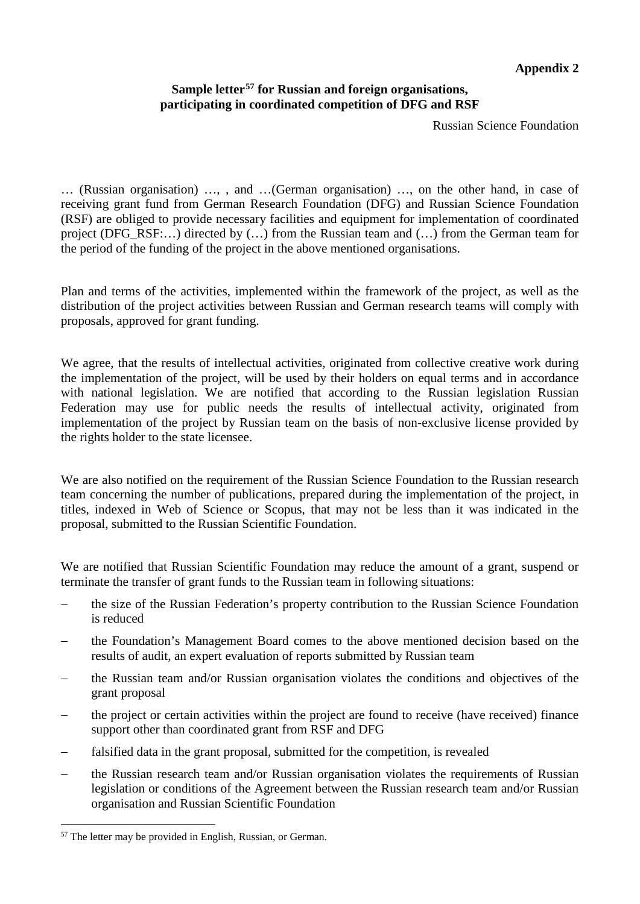# **Appendix 2**

## **Sample letter[57](#page-18-0) for Russian and foreign organisations, participating in coordinated competition of DFG and RSF**

Russian Science Foundation

… (Russian organisation) …, , and …(German organisation) …, on the other hand, in case of receiving grant fund from German Research Foundation (DFG) and Russian Science Foundation (RSF) are obliged to provide necessary facilities and equipment for implementation of coordinated project (DFG\_RSF:...) directed by (...) from the Russian team and (...) from the German team for the period of the funding of the project in the above mentioned organisations.

Plan and terms of the activities, implemented within the framework of the project, as well as the distribution of the project activities between Russian and German research teams will comply with proposals, approved for grant funding.

We agree, that the results of intellectual activities, originated from collective creative work during the implementation of the project, will be used by their holders on equal terms and in accordance with national legislation. We are notified that according to the Russian legislation Russian Federation may use for public needs the results of intellectual activity, originated from implementation of the project by Russian team on the basis of non-exclusive license provided by the rights holder to the state licensee.

We are also notified on the requirement of the Russian Science Foundation to the Russian research team concerning the number of publications, prepared during the implementation of the project, in titles, indexed in Web of Science or Scopus, that may not be less than it was indicated in the proposal, submitted to the Russian Scientific Foundation.

We are notified that Russian Scientific Foundation may reduce the amount of a grant, suspend or terminate the transfer of grant funds to the Russian team in following situations:

- the size of the Russian Federation's property contribution to the Russian Science Foundation is reduced
- − the Foundation's Management Board comes to the above mentioned decision based on the results of audit, an expert evaluation of reports submitted by Russian team
- the Russian team and/or Russian organisation violates the conditions and objectives of the grant proposal
- the project or certain activities within the project are found to receive (have received) finance support other than coordinated grant from RSF and DFG
- − falsified data in the grant proposal, submitted for the competition, is revealed
- the Russian research team and/or Russian organisation violates the requirements of Russian legislation or conditions of the Agreement between the Russian research team and/or Russian organisation and Russian Scientific Foundation

<span id="page-18-0"></span><sup>57</sup> The letter may be provided in English, Russian, or German. <u>.</u>